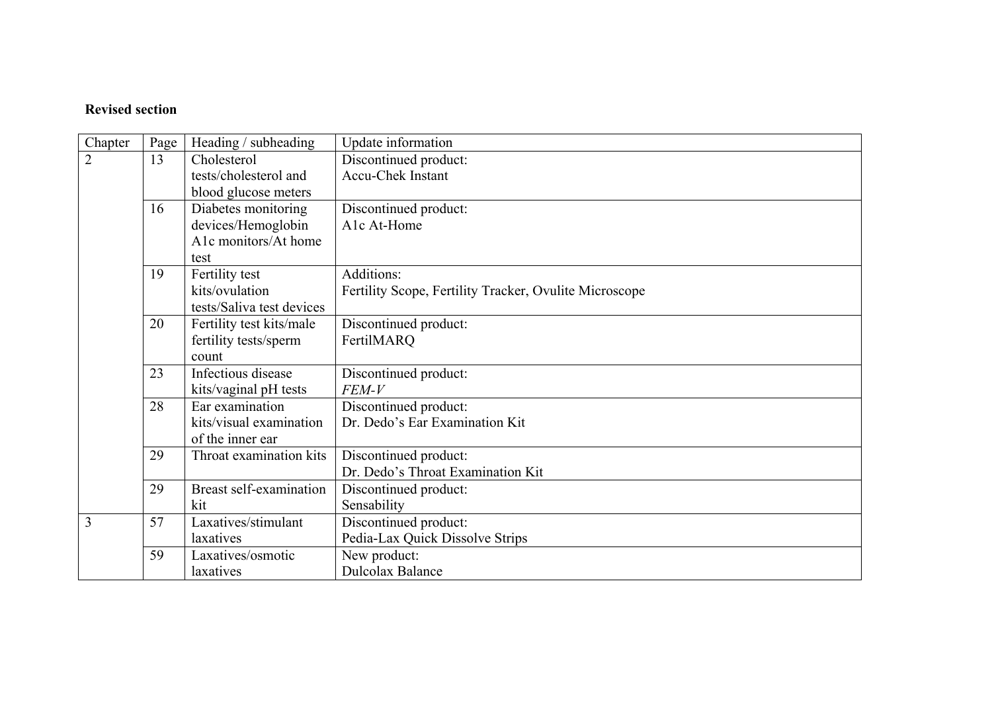## **Revised section**

| Chapter        | Page | Heading / subheading      | Update information                                     |  |
|----------------|------|---------------------------|--------------------------------------------------------|--|
| $\overline{2}$ | 13   | Cholesterol               | Discontinued product:                                  |  |
|                |      | tests/cholesterol and     | <b>Accu-Chek Instant</b>                               |  |
|                |      | blood glucose meters      |                                                        |  |
|                | 16   | Diabetes monitoring       | Discontinued product:                                  |  |
|                |      | devices/Hemoglobin        | A1c At-Home                                            |  |
|                |      | A1c monitors/At home      |                                                        |  |
|                |      | test                      |                                                        |  |
|                | 19   | Fertility test            | Additions:                                             |  |
|                |      | kits/ovulation            | Fertility Scope, Fertility Tracker, Ovulite Microscope |  |
|                |      | tests/Saliva test devices |                                                        |  |
|                | 20   | Fertility test kits/male  | Discontinued product:                                  |  |
|                |      | fertility tests/sperm     | FertilMARQ                                             |  |
|                |      | count                     |                                                        |  |
|                | 23   | Infectious disease        | Discontinued product:                                  |  |
|                |      | kits/vaginal pH tests     | FEM-V                                                  |  |
|                | 28   | Ear examination           | Discontinued product:                                  |  |
|                |      | kits/visual examination   | Dr. Dedo's Ear Examination Kit                         |  |
|                |      | of the inner ear          |                                                        |  |
|                | 29   | Throat examination kits   | Discontinued product:                                  |  |
|                |      |                           | Dr. Dedo's Throat Examination Kit                      |  |
|                | 29   | Breast self-examination   | Discontinued product:                                  |  |
|                |      | kit                       | Sensability                                            |  |
| 3              | 57   | Laxatives/stimulant       | Discontinued product:                                  |  |
|                |      | laxatives                 | Pedia-Lax Quick Dissolve Strips                        |  |
|                | 59   | Laxatives/osmotic         | New product:                                           |  |
|                |      | laxatives                 | <b>Dulcolax Balance</b>                                |  |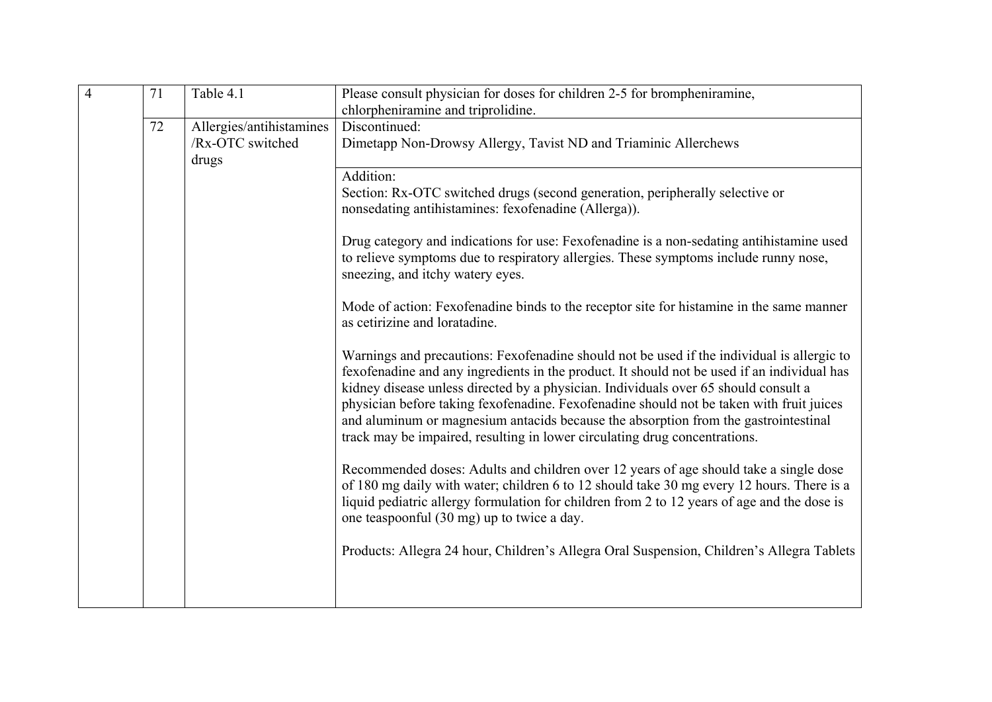| $\overline{4}$ | 71<br>Table 4.1<br>chlorpheniramine and triprolidine. |                                                       | Please consult physician for doses for children 2-5 for brompheniramine,                                                                                                                                                                                                                                                                                                                                                                                                                                                                          |
|----------------|-------------------------------------------------------|-------------------------------------------------------|---------------------------------------------------------------------------------------------------------------------------------------------------------------------------------------------------------------------------------------------------------------------------------------------------------------------------------------------------------------------------------------------------------------------------------------------------------------------------------------------------------------------------------------------------|
|                | 72                                                    | Allergies/antihistamines<br>/Rx-OTC switched<br>drugs | Discontinued:<br>Dimetapp Non-Drowsy Allergy, Tavist ND and Triaminic Allerchews                                                                                                                                                                                                                                                                                                                                                                                                                                                                  |
|                |                                                       |                                                       | Addition:<br>Section: Rx-OTC switched drugs (second generation, peripherally selective or<br>nonsedating antihistamines: fexofenadine (Allerga)).                                                                                                                                                                                                                                                                                                                                                                                                 |
|                |                                                       |                                                       | Drug category and indications for use: Fexofenadine is a non-sedating antihistamine used<br>to relieve symptoms due to respiratory allergies. These symptoms include runny nose,<br>sneezing, and itchy watery eyes.                                                                                                                                                                                                                                                                                                                              |
|                |                                                       |                                                       | Mode of action: Fexofenadine binds to the receptor site for histamine in the same manner<br>as cetirizine and loratadine.                                                                                                                                                                                                                                                                                                                                                                                                                         |
|                |                                                       |                                                       | Warnings and precautions: Fexofenadine should not be used if the individual is allergic to<br>fexofenadine and any ingredients in the product. It should not be used if an individual has<br>kidney disease unless directed by a physician. Individuals over 65 should consult a<br>physician before taking fexofenadine. Fexofenadine should not be taken with fruit juices<br>and aluminum or magnesium antacids because the absorption from the gastrointestinal<br>track may be impaired, resulting in lower circulating drug concentrations. |
|                |                                                       |                                                       | Recommended doses: Adults and children over 12 years of age should take a single dose<br>of 180 mg daily with water; children 6 to 12 should take 30 mg every 12 hours. There is a<br>liquid pediatric allergy formulation for children from 2 to 12 years of age and the dose is<br>one teaspoonful (30 mg) up to twice a day.                                                                                                                                                                                                                   |
|                |                                                       |                                                       | Products: Allegra 24 hour, Children's Allegra Oral Suspension, Children's Allegra Tablets                                                                                                                                                                                                                                                                                                                                                                                                                                                         |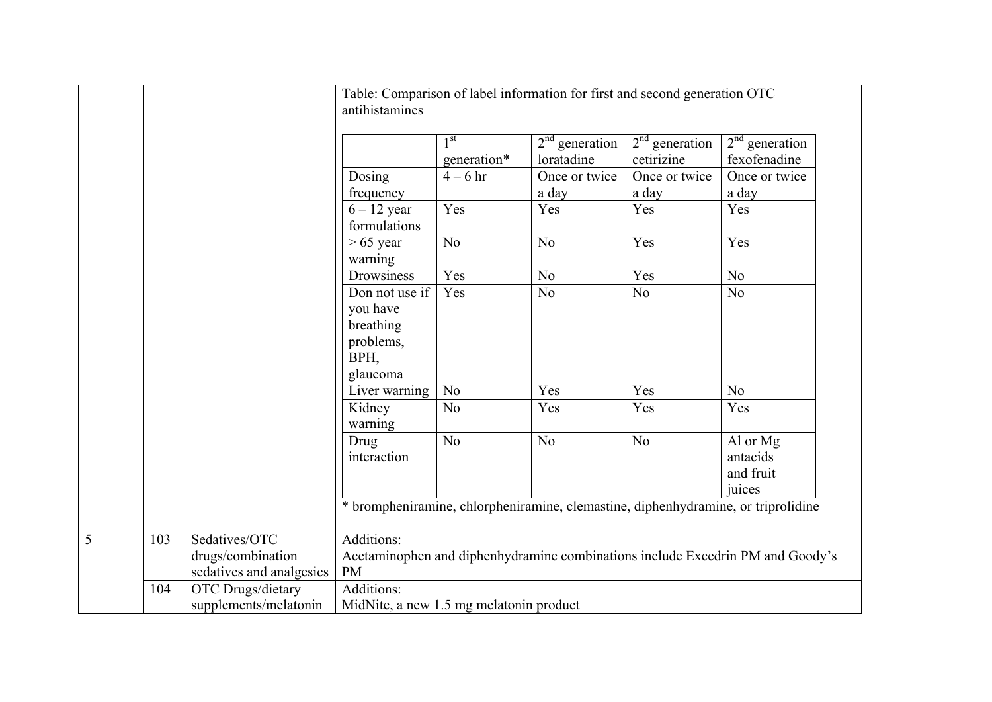|                |     |                                                                | Table: Comparison of label information for first and second generation OTC<br>antihistamines              |                                |                                |                                |                                                                                   |  |
|----------------|-----|----------------------------------------------------------------|-----------------------------------------------------------------------------------------------------------|--------------------------------|--------------------------------|--------------------------------|-----------------------------------------------------------------------------------|--|
|                |     |                                                                |                                                                                                           | 1 <sup>st</sup><br>generation* | $2nd$ generation<br>loratadine | $2nd$ generation<br>cetirizine | $2nd$ generation<br>fexofenadine                                                  |  |
|                |     |                                                                | Dosing                                                                                                    | $4-6$ hr                       | Once or twice                  | Once or twice                  | Once or twice                                                                     |  |
|                |     |                                                                | frequency                                                                                                 |                                | a day                          | a day                          | a day                                                                             |  |
|                |     |                                                                | $6 - 12$ year<br>formulations                                                                             | Yes                            | Yes                            | Yes                            | Yes                                                                               |  |
|                |     |                                                                | $> 65$ year<br>warning                                                                                    | N <sub>o</sub>                 | N <sub>o</sub>                 | Yes                            | Yes                                                                               |  |
|                |     |                                                                | Drowsiness                                                                                                | Yes                            | N <sub>o</sub>                 | Yes                            | No                                                                                |  |
|                |     |                                                                | Don not use if<br>you have<br>breathing<br>problems,<br>BPH,                                              | Yes                            | N <sub>o</sub>                 | N <sub>o</sub>                 | No                                                                                |  |
|                |     |                                                                | glaucoma                                                                                                  |                                |                                |                                |                                                                                   |  |
|                |     |                                                                | Liver warning                                                                                             | N <sub>o</sub>                 | Yes                            | Yes                            | N <sub>o</sub>                                                                    |  |
|                |     |                                                                | Kidney<br>warning                                                                                         | N <sub>o</sub>                 | Yes                            | Yes                            | Yes                                                                               |  |
|                |     |                                                                | Drug<br>interaction                                                                                       | N <sub>o</sub>                 | N <sub>o</sub>                 | N <sub>o</sub>                 | Al or Mg<br>antacids<br>and fruit<br>juices                                       |  |
|                |     |                                                                |                                                                                                           |                                |                                |                                | * brompheniramine, chlorpheniramine, clemastine, diphenhydramine, or triprolidine |  |
| $\overline{5}$ | 103 | Sedatives/OTC<br>drugs/combination<br>sedatives and analgesics | Additions:<br>Acetaminophen and diphenhydramine combinations include Excedrin PM and Goody's<br><b>PM</b> |                                |                                |                                |                                                                                   |  |
|                | 104 | OTC Drugs/dietary<br>supplements/melatonin                     | Additions:<br>MidNite, a new 1.5 mg melatonin product                                                     |                                |                                |                                |                                                                                   |  |